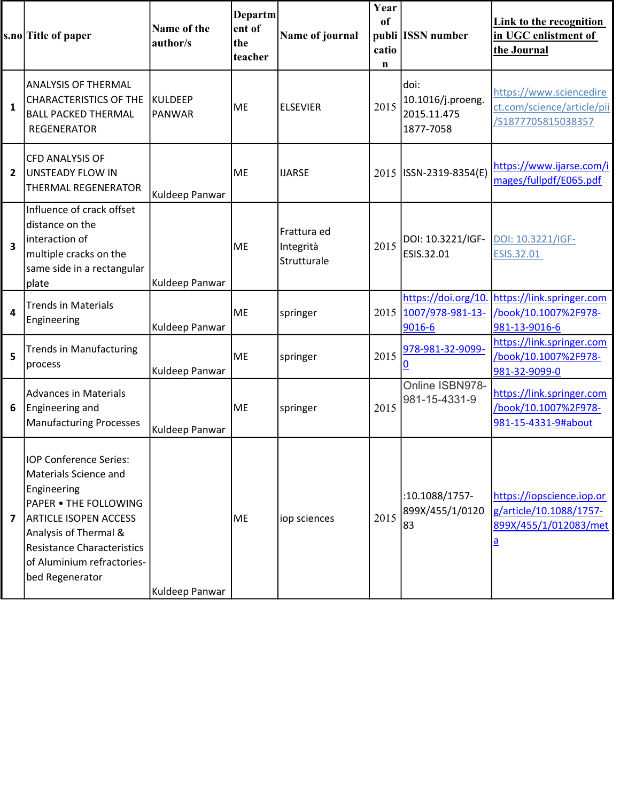|                         | s.no Title of paper                                                                                                                                                                                                                           | Name of the<br>author/s         | Departm<br>ent of<br>the<br>teacher | Name of journal                         | Year<br>of<br>catio<br>n | publi ISSN number                                      | Link to the recognition<br>in UGC enlistment of<br>the Journal                            |
|-------------------------|-----------------------------------------------------------------------------------------------------------------------------------------------------------------------------------------------------------------------------------------------|---------------------------------|-------------------------------------|-----------------------------------------|--------------------------|--------------------------------------------------------|-------------------------------------------------------------------------------------------|
| $\mathbf{1}$            | <b>ANALYSIS OF THERMAL</b><br><b>CHARACTERISTICS OF THE</b><br><b>BALL PACKED THERMAL</b><br><b>REGENERATOR</b>                                                                                                                               | <b>KULDEEP</b><br><b>PANWAR</b> | <b>ME</b>                           | <b>ELSEVIER</b>                         | 2015                     | doi:<br>10.1016/j.proeng.<br>2015.11.475<br>1877-7058  | https://www.sciencedire<br>ct.com/science/article/pii<br>/S1877705815038357               |
| $\overline{2}$          | <b>CFD ANALYSIS OF</b><br>UNSTEADY FLOW IN<br><b>THERMAL REGENERATOR</b>                                                                                                                                                                      | Kuldeep Panwar                  | <b>ME</b>                           | <b>IJARSE</b>                           |                          | 2015   ISSN-2319-8354(E)                               | https://www.ijarse.com/i<br>mages/fullpdf/E065.pdf                                        |
| $\overline{\mathbf{3}}$ | Influence of crack offset<br>distance on the<br>interaction of<br>multiple cracks on the<br>same side in a rectangular<br>plate                                                                                                               | Kuldeep Panwar                  | ME                                  | Frattura ed<br>Integrità<br>Strutturale | 2015                     | DOI: 10.3221/IGF-<br>ESIS.32.01                        | DOI: 10.3221/IGF-<br>ESIS.32.01                                                           |
| $\overline{\mathbf{4}}$ | <b>Trends in Materials</b><br>Engineering                                                                                                                                                                                                     | Kuldeep Panwar                  | <b>ME</b>                           | springer                                |                          | https://doi.org/10.<br>2015 1007/978-981-13-<br>9016-6 | https://link.springer.com<br>/book/10.1007%2F978-<br>981-13-9016-6                        |
| 5                       | <b>Trends in Manufacturing</b><br>process                                                                                                                                                                                                     | Kuldeep Panwar                  | <b>ME</b>                           | springer                                | 2015                     | 978-981-32-9099-<br>0                                  | https://link.springer.com<br>/book/10.1007%2F978-<br>981-32-9099-0                        |
| 6                       | <b>Advances in Materials</b><br>Engineering and<br><b>Manufacturing Processes</b>                                                                                                                                                             | Kuldeep Panwar                  | <b>ME</b>                           | springer                                | 2015                     | Online ISBN978-<br>981-15-4331-9                       | https://link.springer.com<br>/book/10.1007%2F978-<br>981-15-4331-9#about                  |
| $\overline{\mathbf{z}}$ | <b>IOP Conference Series:</b><br>Materials Science and<br>Engineering<br>PAPER . THE FOLLOWING<br><b>ARTICLE ISOPEN ACCESS</b><br>Analysis of Thermal &<br><b>Resistance Characteristics</b><br>of Aluminium refractories-<br>bed Regenerator | Kuldeep Panwar                  | <b>ME</b>                           | iop sciences                            | 2015                     | :10.1088/1757-<br>899X/455/1/0120<br>83                | https://iopscience.iop.or<br>g/article/10.1088/1757-<br>899X/455/1/012083/met<br><u>a</u> |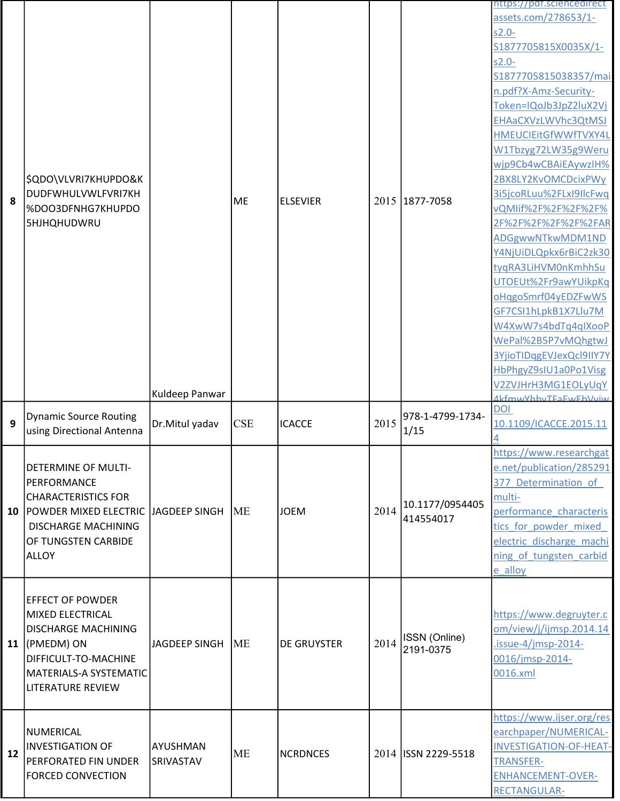| 8  | \$QDO\VLVRI7KHUPDO&K<br>DUDFWHULVWLFVRI7KH<br>%DOO3DFNHG7KHUPDO<br><b>5HJHQHUDWRU</b>                                                                                                | Kuldeep Panwar               | <b>ME</b>  | <b>ELSEVIER</b>    |      | 2015 1877-7058               | https://pdf.sciencedirect<br>assets.com/278653/1-<br>$s2.0 -$<br>S1877705815X0035X/1-<br>$s2.0 -$<br>S1877705815038357/mai<br>n.pdf?X-Amz-Security-<br>Token=IQoJb3JpZ2luX2Vj<br>EHAaCXVzLWVhc3QtMSJ<br>HMEUCIEitGfWWfTVXY4L<br>W1Tbzyg72LW35g9Weru<br>wjp9Cb4wCBAiEAywzIH%<br>2BX8LY2KvOMCDcixPWy<br>3i5jcoRLuu%2FLxI9IlcFwq<br>vQMIif%2F%2F%2F%2F%<br>2F%2F%2F%2F%2F%2FAR<br>ADGgwwNTkwMDM1ND<br>Y4NjUiDLQpkx6rBiC2zk30<br>tyqRA3LiHVM0nKmhhSu<br>UTOEUt%2Fr9awYUikpKq<br>oHqgoSmrf04yEDZFwWS<br>GF7CSI1hLpkB1X7Llu7M<br>W4XwW7s4bdTq4qIXooP<br>WePal%2B5P7vMQhgtwJ<br>3YjioTIDqgEVJexQcl9IIY7Y<br>HbPhgyZ9sIU1a0Po1Visg<br>V2ZVJHrH3MG1EOLyUqY |
|----|--------------------------------------------------------------------------------------------------------------------------------------------------------------------------------------|------------------------------|------------|--------------------|------|------------------------------|---------------------------------------------------------------------------------------------------------------------------------------------------------------------------------------------------------------------------------------------------------------------------------------------------------------------------------------------------------------------------------------------------------------------------------------------------------------------------------------------------------------------------------------------------------------------------------------------------------------------------------------------------|
| 9  | <b>Dynamic Source Routing</b><br>using Directional Antenna                                                                                                                           | Dr.Mitul yadav               | <b>CSE</b> | <b>ICACCE</b>      | 2015 | 978-1-4799-1734-<br>1/15     | <b>AkfmwVhhyTEaEwEhVviw</b><br><b>DOI</b><br>10.1109/ICACCE.2015.11                                                                                                                                                                                                                                                                                                                                                                                                                                                                                                                                                                               |
| 10 | <b>DETERMINE OF MULTI-</b><br>PERFORMANCE<br><b>CHARACTERISTICS FOR</b><br>POWDER MIXED ELECTRIC JJAGDEEP SINGH<br><b>DISCHARGE MACHINING</b><br>OF TUNGSTEN CARBIDE<br><b>ALLOY</b> |                              | <b>IME</b> | <b>JOEM</b>        | 2014 | 10.1177/0954405<br>414554017 | https://www.researchgat<br>e.net/publication/285291<br>377 Determination of<br>multi-<br>performance characteris<br>tics for powder mixed<br>electric discharge machi<br>ning of tungsten carbid<br>e alloy                                                                                                                                                                                                                                                                                                                                                                                                                                       |
|    | <b>EFFECT OF POWDER</b><br>MIXED ELECTRICAL<br><b>DISCHARGE MACHINING</b><br>11 $ (PMEDM)$ ON<br>DIFFICULT-TO-MACHINE<br>MATERIALS-A SYSTEMATIC<br><b>LITERATURE REVIEW</b>          | JAGDEEP SINGH                | <b>ME</b>  | <b>DE GRUYSTER</b> | 2014 | ISSN (Online)<br>2191-0375   | https://www.degruyter.c<br>om/view/j/ijmsp.2014.14<br>$.issue-4/imsp-2014-$<br>0016/jmsp-2014-<br>0016.xml                                                                                                                                                                                                                                                                                                                                                                                                                                                                                                                                        |
| 12 | NUMERICAL<br><b>INVESTIGATION OF</b><br>PERFORATED FIN UNDER<br><b>FORCED CONVECTION</b>                                                                                             | AYUSHMAN<br><b>SRIVASTAV</b> | <b>ME</b>  | <b>NCRDNCES</b>    |      | 2014 ISSN 2229-5518          | https://www.ijser.org/res<br>earchpaper/NUMERICAL-<br><b>INVESTIGATION-OF-HEAT-</b><br><b>TRANSFER-</b><br><b>ENHANCEMENT-OVER-</b><br><b>RECTANGULAR-</b>                                                                                                                                                                                                                                                                                                                                                                                                                                                                                        |